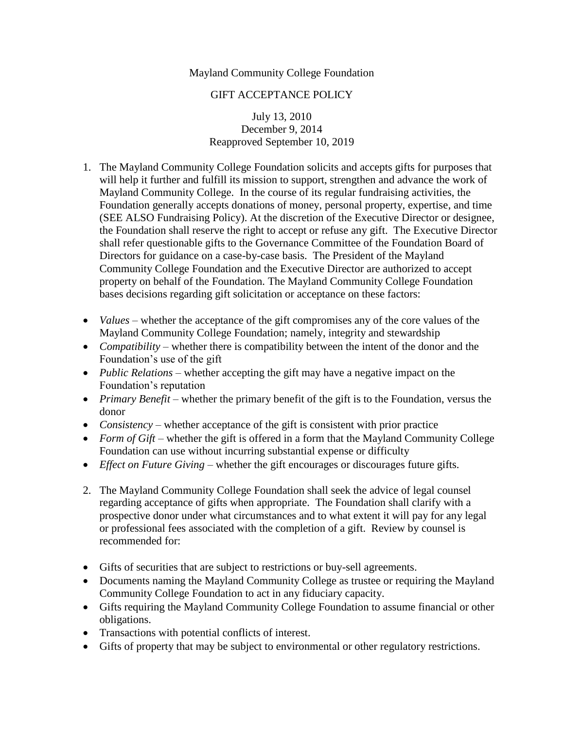## Mayland Community College Foundation

## GIFT ACCEPTANCE POLICY

July 13, 2010 December 9, 2014 Reapproved September 10, 2019

- 1. The Mayland Community College Foundation solicits and accepts gifts for purposes that will help it further and fulfill its mission to support, strengthen and advance the work of Mayland Community College. In the course of its regular fundraising activities, the Foundation generally accepts donations of money, personal property, expertise, and time (SEE ALSO Fundraising Policy). At the discretion of the Executive Director or designee, the Foundation shall reserve the right to accept or refuse any gift. The Executive Director shall refer questionable gifts to the Governance Committee of the Foundation Board of Directors for guidance on a case-by-case basis. The President of the Mayland Community College Foundation and the Executive Director are authorized to accept property on behalf of the Foundation. The Mayland Community College Foundation bases decisions regarding gift solicitation or acceptance on these factors:
- *Values –* whether the acceptance of the gift compromises any of the core values of the Mayland Community College Foundation; namely, integrity and stewardship
- *Compatibility* whether there is compatibility between the intent of the donor and the Foundation's use of the gift
- *Public Relations –* whether accepting the gift may have a negative impact on the Foundation's reputation
- *Primary Benefit –* whether the primary benefit of the gift is to the Foundation, versus the donor
- *Consistency* whether acceptance of the gift is consistent with prior practice
- *Form of Gift –* whether the gift is offered in a form that the Mayland Community College Foundation can use without incurring substantial expense or difficulty
- *Effect on Future Giving –* whether the gift encourages or discourages future gifts.
- 2. The Mayland Community College Foundation shall seek the advice of legal counsel regarding acceptance of gifts when appropriate. The Foundation shall clarify with a prospective donor under what circumstances and to what extent it will pay for any legal or professional fees associated with the completion of a gift. Review by counsel is recommended for:
- Gifts of securities that are subject to restrictions or buy-sell agreements.
- Documents naming the Mayland Community College as trustee or requiring the Mayland Community College Foundation to act in any fiduciary capacity.
- Gifts requiring the Mayland Community College Foundation to assume financial or other obligations.
- Transactions with potential conflicts of interest.
- Gifts of property that may be subject to environmental or other regulatory restrictions.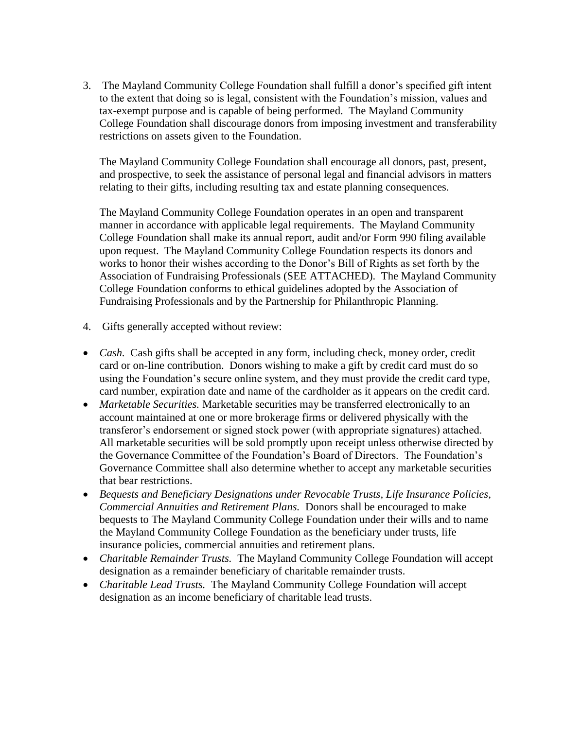3. The Mayland Community College Foundation shall fulfill a donor's specified gift intent to the extent that doing so is legal, consistent with the Foundation's mission, values and tax-exempt purpose and is capable of being performed. The Mayland Community College Foundation shall discourage donors from imposing investment and transferability restrictions on assets given to the Foundation.

The Mayland Community College Foundation shall encourage all donors, past, present, and prospective, to seek the assistance of personal legal and financial advisors in matters relating to their gifts, including resulting tax and estate planning consequences.

The Mayland Community College Foundation operates in an open and transparent manner in accordance with applicable legal requirements. The Mayland Community College Foundation shall make its annual report, audit and/or Form 990 filing available upon request. The Mayland Community College Foundation respects its donors and works to honor their wishes according to the Donor's Bill of Rights as set forth by the Association of Fundraising Professionals (SEE ATTACHED). The Mayland Community College Foundation conforms to ethical guidelines adopted by the Association of Fundraising Professionals and by the Partnership for Philanthropic Planning.

- 4. Gifts generally accepted without review:
- *Cash.* Cash gifts shall be accepted in any form, including check, money order, credit card or on-line contribution. Donors wishing to make a gift by credit card must do so using the Foundation's secure online system, and they must provide the credit card type, card number, expiration date and name of the cardholder as it appears on the credit card.
- *Marketable Securities.* Marketable securities may be transferred electronically to an account maintained at one or more brokerage firms or delivered physically with the transferor's endorsement or signed stock power (with appropriate signatures) attached. All marketable securities will be sold promptly upon receipt unless otherwise directed by the Governance Committee of the Foundation's Board of Directors. The Foundation's Governance Committee shall also determine whether to accept any marketable securities that bear restrictions.
- *Bequests and Beneficiary Designations under Revocable Trusts, Life Insurance Policies, Commercial Annuities and Retirement Plans.* Donors shall be encouraged to make bequests to The Mayland Community College Foundation under their wills and to name the Mayland Community College Foundation as the beneficiary under trusts, life insurance policies, commercial annuities and retirement plans.
- *Charitable Remainder Trusts.* The Mayland Community College Foundation will accept designation as a remainder beneficiary of charitable remainder trusts.
- *Charitable Lead Trusts.* The Mayland Community College Foundation will accept designation as an income beneficiary of charitable lead trusts.